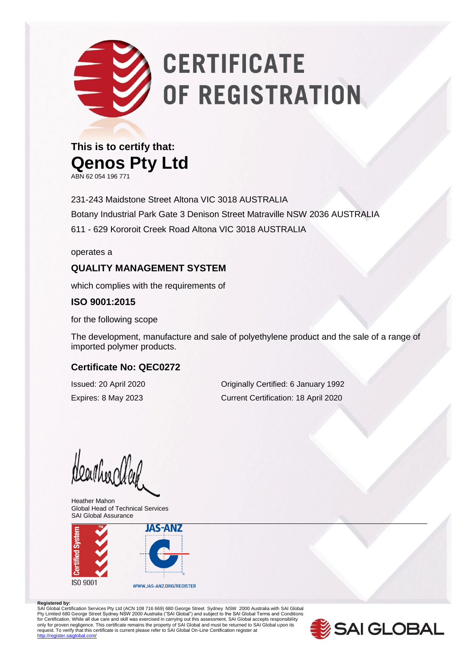# **CERTIFICATE** OF REGISTRATION

### **This is to certify that: Qenos Pty Ltd**

ABN 62 054 196 771

231-243 Maidstone Street Altona VIC 3018 AUSTRALIA Botany Industrial Park Gate 3 Denison Street Matraville NSW 2036 AUSTRALIA 611 - 629 Kororoit Creek Road Altona VIC 3018 AUSTRALIA

operates a

#### **QUALITY MANAGEMENT SYSTEM**

which complies with the requirements of

#### **ISO 9001:2015**

for the following scope

The development, manufacture and sale of polyethylene product and the sale of a range of imported polymer products.

#### **Certificate No: QEC0272**

Issued: 20 April 2020 Originally Certified: 6 January 1992 Expires: 8 May 2023 Current Certification: 18 April 2020

HearthearCleck

Heather Mahon Global Head of Technical Services SAI Global Assurance



#### **Registered by:**

SAI Global Certification Services Pty Ltd (ACN 108 716 669) 680 George Street Sydney NSW 2000 Australia with SAI Global Pty Limited 680 George Street Sydney NSW 2000 Australia ("SAI Global") and subject to the SAI Global Terms and Conditions<br>for Certification. While all due care and skill was exercised in carrying out this assessment, SAI G only for proven negligence. This certificate remains the property of SAI Global and must be returned to SAI Global upon its<br>request. To verify that this certificate is current please refer to SAI Global On-Line Certificati dlobal.com/